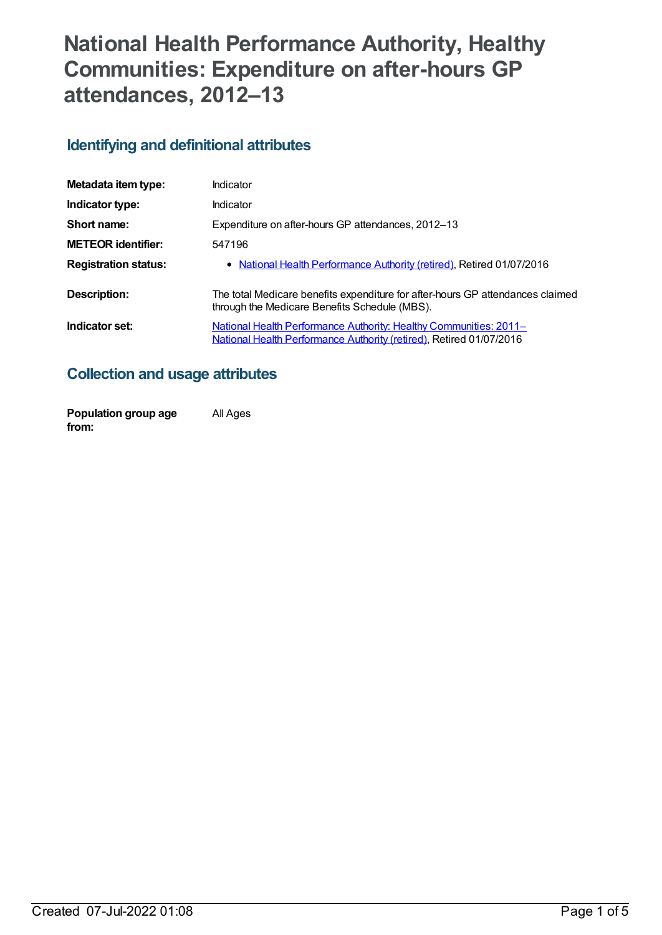# **National Health Performance Authority, Healthy Communities: Expenditure on after-hours GP attendances, 2012–13**

### **Identifying and definitional attributes**

| Metadata item type:         | Indicator                                                                                                                                |
|-----------------------------|------------------------------------------------------------------------------------------------------------------------------------------|
| Indicator type:             | Indicator                                                                                                                                |
| Short name:                 | Expenditure on after-hours GP attendances, 2012–13                                                                                       |
| <b>METEOR identifier:</b>   | 547196                                                                                                                                   |
| <b>Registration status:</b> | • National Health Performance Authority (retired), Retired 01/07/2016                                                                    |
| Description:                | The total Medicare benefits expenditure for after-hours GP attendances claimed<br>through the Medicare Benefits Schedule (MBS).          |
| Indicator set:              | National Health Performance Authority: Healthy Communities: 2011-<br>National Health Performance Authority (retired), Retired 01/07/2016 |

### **Collection and usage attributes**

| Population group age | All Ages |
|----------------------|----------|
| from:                |          |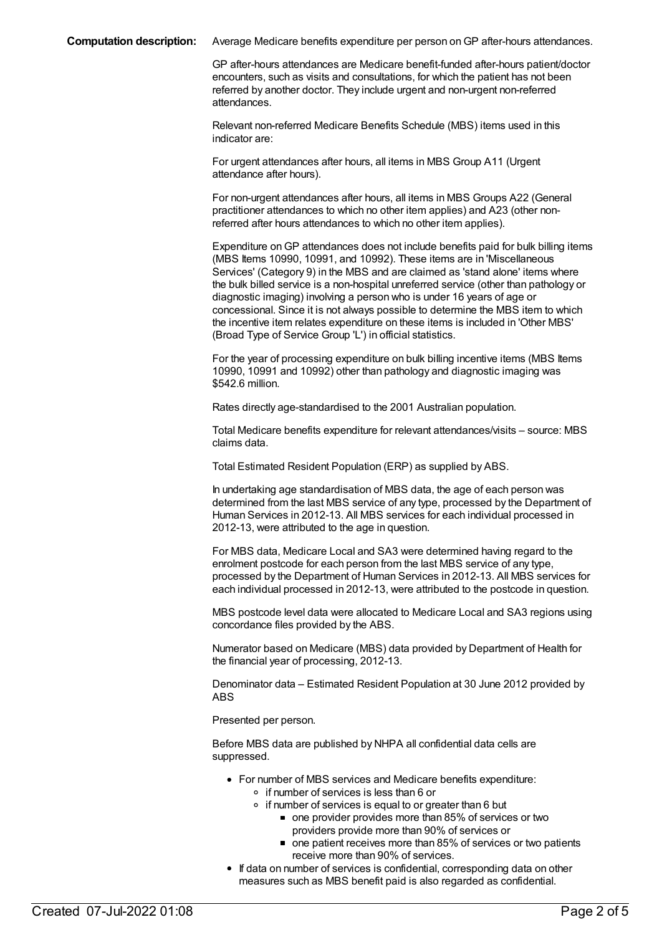**Computation description:** Average Medicare benefits expenditure per person onGP after-hours attendances.

GP after-hours attendances are Medicare benefit-funded after-hours patient/doctor encounters, such as visits and consultations, for which the patient has not been referred by another doctor. They include urgent and non-urgent non-referred attendances.

Relevant non-referred Medicare Benefits Schedule (MBS) items used in this indicator are:

For urgent attendances after hours, all items in MBS Group A11 (Urgent attendance after hours).

For non-urgent attendances after hours, all items in MBS Groups A22 (General practitioner attendances to which no other item applies) and A23 (other nonreferred after hours attendances to which no other item applies).

Expenditure onGP attendances does not include benefits paid for bulk billing items (MBS Items 10990, 10991, and 10992). These items are in 'Miscellaneous Services' (Category 9) in the MBS and are claimed as 'stand alone' items where the bulk billed service is a non-hospital unreferred service (other than pathology or diagnostic imaging) involving a person who is under 16 years of age or concessional. Since it is not always possible to determine the MBS item to which the incentive item relates expenditure on these items is included in 'Other MBS' (Broad Type of Service Group 'L') in official statistics.

For the year of processing expenditure on bulk billing incentive items (MBS Items 10990, 10991 and 10992) other than pathology and diagnostic imaging was \$542.6 million.

Rates directly age-standardised to the 2001 Australian population.

Total Medicare benefits expenditure for relevant attendances/visits – source: MBS claims data.

Total Estimated Resident Population (ERP) as supplied by ABS.

In undertaking age standardisation of MBS data, the age of each person was determined from the last MBS service of any type, processed by the Department of Human Services in 2012-13. All MBS services for each individual processed in 2012-13, were attributed to the age in question.

For MBS data, Medicare Local and SA3 were determined having regard to the enrolment postcode for each person from the last MBS service of any type, processed by the Department of Human Services in 2012-13. All MBS services for each individual processed in 2012-13, were attributed to the postcode in question.

MBS postcode level data were allocated to Medicare Local and SA3 regions using concordance files provided by the ABS.

Numerator based on Medicare (MBS) data provided by Department of Health for the financial year of processing, 2012-13.

Denominator data – Estimated Resident Population at 30 June 2012 provided by ABS

Presented per person.

Before MBS data are published by NHPA all confidential data cells are suppressed.

- For number of MBS services and Medicare benefits expenditure: o if number of services is less than 6 or
	- $\circ$  if number of services is equal to or greater than 6 but
		- one provider provides more than 85% of services or two providers provide more than 90% of services or
		- one patient receives more than 85% of services or two patients receive more than 90% of services.
- If data on number of services is confidential, corresponding data on other measures such as MBS benefit paid is also regarded as confidential.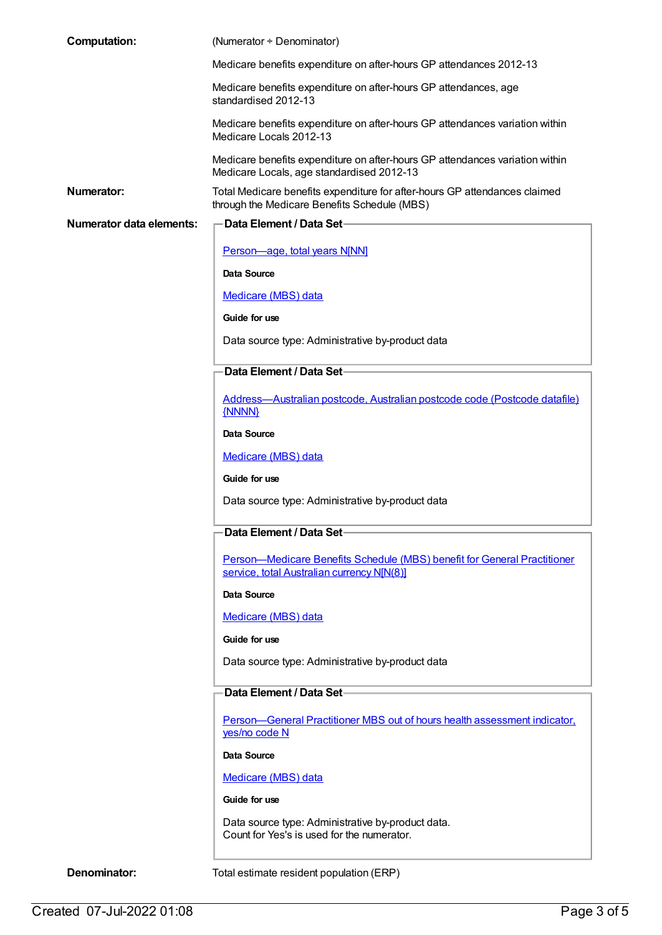| <b>Computation:</b>             | (Numerator ÷ Denominator)                                                                                                  |
|---------------------------------|----------------------------------------------------------------------------------------------------------------------------|
|                                 | Medicare benefits expenditure on after-hours GP attendances 2012-13                                                        |
|                                 | Medicare benefits expenditure on after-hours GP attendances, age<br>standardised 2012-13                                   |
|                                 | Medicare benefits expenditure on after-hours GP attendances variation within<br>Medicare Locals 2012-13                    |
|                                 | Medicare benefits expenditure on after-hours GP attendances variation within<br>Medicare Locals, age standardised 2012-13  |
| Numerator:                      | Total Medicare benefits expenditure for after-hours GP attendances claimed<br>through the Medicare Benefits Schedule (MBS) |
| <b>Numerator data elements:</b> | Data Element / Data Set-                                                                                                   |
|                                 | Person-age, total years N[NN]                                                                                              |
|                                 | Data Source                                                                                                                |
|                                 | Medicare (MBS) data                                                                                                        |
|                                 | Guide for use                                                                                                              |
|                                 | Data source type: Administrative by-product data                                                                           |
|                                 | Data Element / Data Set-                                                                                                   |
|                                 | Address-Australian postcode, Australian postcode code (Postcode datafile)<br>{NNNN}                                        |
|                                 | <b>Data Source</b>                                                                                                         |
|                                 | Medicare (MBS) data                                                                                                        |
|                                 | Guide for use                                                                                                              |
|                                 | Data source type: Administrative by-product data                                                                           |
|                                 | Data Element / Data Set-                                                                                                   |
|                                 | Person-Medicare Benefits Schedule (MBS) benefit for General Practitioner<br>service, total Australian currency N[N(8)]     |
|                                 | <b>Data Source</b>                                                                                                         |
|                                 | Medicare (MBS) data                                                                                                        |
|                                 | Guide for use                                                                                                              |
|                                 | Data source type: Administrative by-product data                                                                           |
|                                 | Data Element / Data Set-                                                                                                   |
|                                 | Person-General Practitioner MBS out of hours health assessment indicator,<br>yes/no code N                                 |
|                                 | Data Source                                                                                                                |
|                                 | Medicare (MBS) data                                                                                                        |
|                                 | Guide for use                                                                                                              |
|                                 | Data source type: Administrative by-product data.<br>Count for Yes's is used for the numerator.                            |
| Denominator:                    | Total estimate resident population (ERP)                                                                                   |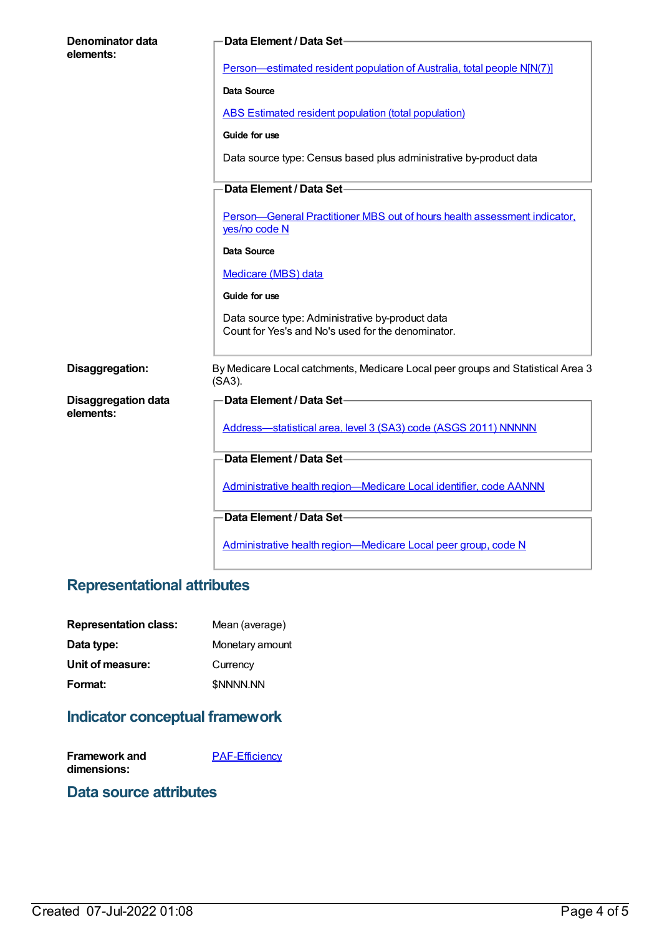| Denominator data<br>elements: | Data Element / Data Set-                                                                               |
|-------------------------------|--------------------------------------------------------------------------------------------------------|
|                               | Person-estimated resident population of Australia, total people N[N(7)]                                |
|                               | <b>Data Source</b>                                                                                     |
|                               | <b>ABS Estimated resident population (total population)</b>                                            |
|                               | Guide for use                                                                                          |
|                               | Data source type: Census based plus administrative by-product data                                     |
|                               | Data Element / Data Set-                                                                               |
|                               | Person-General Practitioner MBS out of hours health assessment indicator,<br>yes/no code N             |
|                               | Data Source                                                                                            |
|                               | Medicare (MBS) data                                                                                    |
|                               | Guide for use                                                                                          |
|                               | Data source type: Administrative by-product data<br>Count for Yes's and No's used for the denominator. |
| Disaggregation:               | By Medicare Local catchments, Medicare Local peer groups and Statistical Area 3<br>(SA3).              |
| <b>Disaggregation data</b>    | Data Element / Data Set-                                                                               |
| elements:                     | Address-statistical area, level 3 (SA3) code (ASGS 2011) NNNNN                                         |
|                               | Data Element / Data Set-                                                                               |
|                               | Administrative health region-Medicare Local identifier, code AANNN                                     |
|                               | Data Element / Data Set-                                                                               |
|                               | Administrative health region-Medicare Local peer group, code N                                         |

## **Representational attributes**

| <b>Representation class:</b> | Mean (average)   |
|------------------------------|------------------|
| Data type:                   | Monetary amount  |
| Unit of measure:             | Currency         |
| Format:                      | <b>\$NNNN.NN</b> |

# **Indicator conceptual framework**

| Framework and | <b>PAF-Efficiency</b> |
|---------------|-----------------------|
| dimensions:   |                       |

#### **Data source attributes**